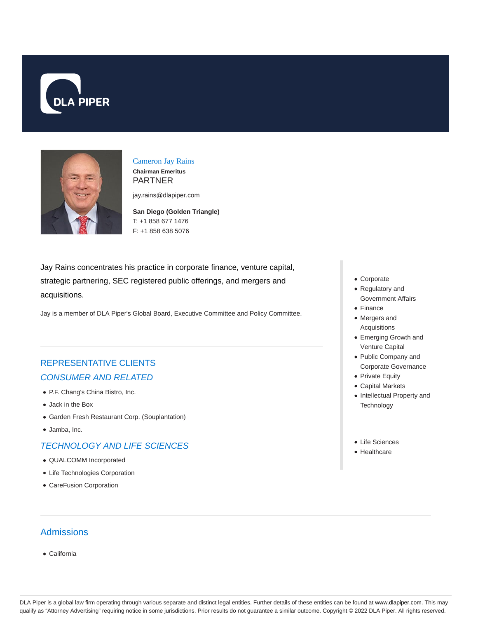



Cameron Jay Rains **Chairman Emeritus** PARTNER

jay.rains@dlapiper.com

**San Diego (Golden Triangle)** T: +1 858 677 1476 F: +1 858 638 5076

Jay Rains concentrates his practice in corporate finance, venture capital, strategic partnering, SEC registered public offerings, and mergers and acquisitions.

Jay is a member of DLA Piper's Global Board, Executive Committee and Policy Committee.

# REPRESENTATIVE CLIENTS CONSUMER AND RELATED

- P.F. Chang's China Bistro, Inc.
- Jack in the Box
- Garden Fresh Restaurant Corp. (Souplantation)
- Jamba, Inc.

#### TECHNOLOGY AND LIFE SCIENCES

- QUALCOMM Incorporated
- Life Technologies Corporation
- CareFusion Corporation

### Admissions

California

- Corporate
- Regulatory and Government Affairs
- Finance
- Mergers and Acquisitions
- Emerging Growth and Venture Capital
- Public Company and Corporate Governance
- Private Equity
- Capital Markets
- Intellectual Property and **Technology**
- Life Sciences
- Healthcare